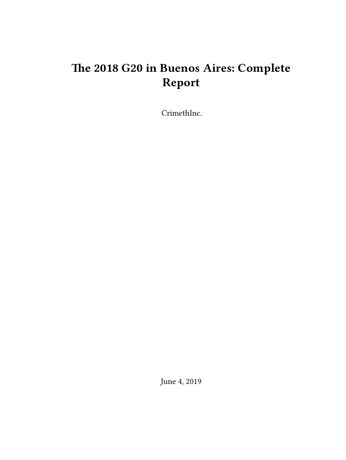# **The 2018 G20 in Buenos Aires: Complete Report**

CrimethInc.

June 4, 2019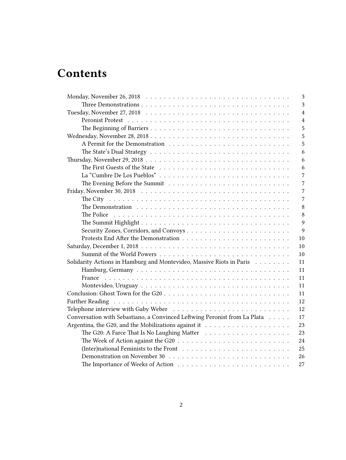# **Contents**

| 3                                                                                                         |
|-----------------------------------------------------------------------------------------------------------|
| 3                                                                                                         |
| $\overline{4}$                                                                                            |
| $\overline{4}$                                                                                            |
| 5                                                                                                         |
| 5                                                                                                         |
| 5                                                                                                         |
| 6                                                                                                         |
| 6                                                                                                         |
| 6                                                                                                         |
| 7                                                                                                         |
| 7<br>The Evening Before the Summit $\ldots \ldots \ldots \ldots \ldots \ldots \ldots \ldots$              |
| 7                                                                                                         |
| 7                                                                                                         |
| 8                                                                                                         |
| 8                                                                                                         |
| 9                                                                                                         |
| $\overline{9}$                                                                                            |
| 10                                                                                                        |
| 10                                                                                                        |
| 10                                                                                                        |
| Solidarity Actions in Hamburg and Montevideo, Massive Riots in Paris<br>11                                |
| 11                                                                                                        |
| 11                                                                                                        |
| 11                                                                                                        |
| 11                                                                                                        |
| 12                                                                                                        |
| 12                                                                                                        |
| Conversation with Sebastiano, a Convinced Leftwing Peronist from La Plata<br>17                           |
| 23                                                                                                        |
| 23                                                                                                        |
| The Week of Action against the G20 $\ldots \ldots \ldots \ldots \ldots \ldots \ldots \ldots \ldots$<br>24 |
| 25                                                                                                        |
| 26                                                                                                        |
| The Importance of Weeks of Action $\ldots \ldots \ldots \ldots \ldots \ldots \ldots \ldots$<br>27         |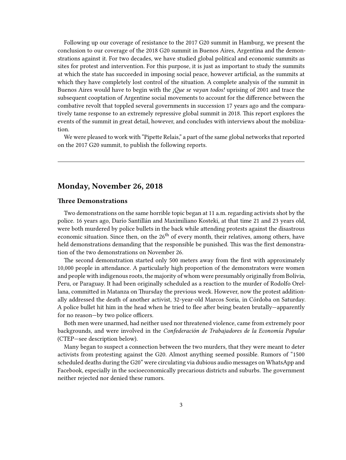Following up our coverage of resistance to the 2017 G20 summit in Hamburg, we present the conclusion to our coverage of the 2018 G20 summit in Buenos Aires, Argentina and the demonstrations against it. For two decades, we have studied global political and economic summits as sites for protest and intervention. For this purpose, it is just as important to study the summits at which the state has succeeded in imposing social peace, however artificial, as the summits at which they have completely lost control of the situation. A complete analysis of the summit in Buenos Aires would have to begin with the *¡Que se vayan todos!* uprising of 2001 and trace the subsequent cooptation of Argentine social movements to account for the difference between the combative revolt that toppled several governments in succession 17 years ago and the comparatively tame response to an extremely repressive global summit in 2018. This report explores the events of the summit in great detail, however, and concludes with interviews about the mobilization.

We were pleased to work with "Pipette Relais," a part of the same global networks that reported on the 2017 G20 summit, to publish the following reports.

# <span id="page-2-0"></span>**Monday, November 26, 2018**

### <span id="page-2-1"></span>**Three Demonstrations**

Two demonstrations on the same horrible topic began at 11 a.m. regarding activists shot by the police. 16 years ago, Darío Santillán and Maximiliano Kosteki, at that time 21 and 23 years old, were both murdered by police bullets in the back while attending protests against the disastrous economic situation. Since then, on the 26<sup>th</sup> of every month, their relatives, among others, have held demonstrations demanding that the responsible be punished. This was the first demonstration of the two demonstrations on November 26.

The second demonstration started only 500 meters away from the first with approximately 10,000 people in attendance. A particularly high proportion of the demonstrators were women and people with indigenous roots, the majority of whom were presumably originally from Bolivia, Peru, or Paraguay. It had been originally scheduled as a reaction to the murder of Rodolfo Orellana, committed in Matanza on Thursday the previous week. However, now the protest additionally addressed the death of another activist, 32-year-old Marcos Soria, in Córdoba on Saturday. A police bullet hit him in the head when he tried to flee after being beaten brutally—apparently for no reason—by two police officers.

Both men were unarmed, had neither used nor threatened violence, came from extremely poor backgrounds, and were involved in the *Confederación de Trabajadores de la Economía Popular* (CTEP—see description below).

Many began to suspect a connection between the two murders, that they were meant to deter activists from protesting against the G20. Almost anything seemed possible. Rumors of "1500 scheduled deaths during the G20" were circulating via dubious audio messages on WhatsApp and Facebook, especially in the socioeconomically precarious districts and suburbs. The government neither rejected nor denied these rumors.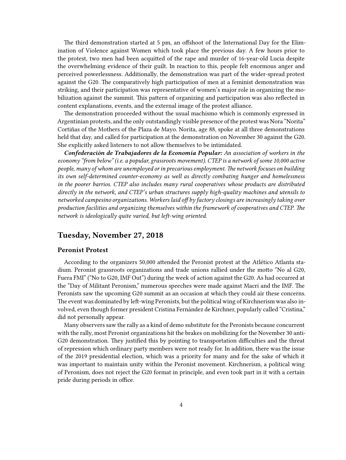The third demonstration started at 5 pm, an offshoot of the International Day for the Elimination of Violence against Women which took place the previous day. A few hours prior to the protest, two men had been acquitted of the rape and murder of 16-year-old Lucia despite the overwhelming evidence of their guilt. In reaction to this, people felt enormous anger and perceived powerlessness. Additionally, the demonstration was part of the wider-spread protest against the G20. The comparatively high participation of men at a feminist demonstration was striking, and their participation was representative of women's major role in organizing the mobilization against the summit. This pattern of organizing and participation was also reflected in content explanations, events, and the external image of the protest alliance.

The demonstration proceeded without the usual machismo which is commonly expressed in Argentinian protests, and the only outstandingly visible presence of the protest was Nora "Norita" Cortiñas of the Mothers of the Plaza de Mayo. Norita, age 88, spoke at all three demonstrations held that day, and called for participation at the demonstration on November 30 against the G20. She explicitly asked listeners to not allow themselves to be intimidated.

*Confederación de Trabajadores de la Economía Popular: An association of workers in the economy "from below" (i.e. a popular, grassroots movement). CTEP is a network of some 10,000 active people, many of whom are unemployed or in precarious employment. The network focuses on building its own self-determined counter-economy as well as directly combating hunger and homelessness in the poorer barrios. CTEP also includes many rural cooperatives whose products are distributed directly in the network, and CTEP's urban structures supply high-quality machines and utensils to networked campesino organizations. Workers laid off by factory closings are increasingly taking over production facilities and organizing themselves within the framework of cooperatives and CTEP. The network is ideologically quite varied, but left-wing oriented.*

# <span id="page-3-0"></span>**Tuesday, November 27, 2018**

### <span id="page-3-1"></span>**Peronist Protest**

According to the organizers 50,000 attended the Peronist protest at the Atlético Atlanta stadium. Peronist grassroots organizations and trade unions rallied under the motto "No al G20, Fuera FMI" ("No to G20, IMF Out") during the week of action against the G20. As had occurred at the "Day of Militant Peronism," numerous speeches were made against Macri and the IMF. The Peronists saw the upcoming G20 summit as an occasion at which they could air these concerns. The event was dominated by left-wing Peronists, but the political wing of Kirchnerism was also involved, even though former president Cristina Fernández de Kirchner, popularly called "Cristina," did not personally appear.

Many observers saw the rally as a kind of demo substitute for the Peronists because concurrent with the rally, most Peronist organizations hit the brakes on mobilizing for the November 30 anti-G20 demonstration. They justified this by pointing to transportation difficulties and the threat of repression which ordinary party members were not ready for. In addition, there was the issue of the 2019 presidential election, which was a priority for many and for the sake of which it was important to maintain unity within the Peronist movement. Kirchnerism, a political wing of Peronism, does not reject the G20 format in principle, and even took part in it with a certain pride during periods in office.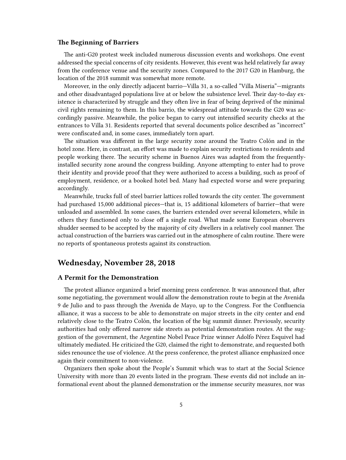## <span id="page-4-0"></span>**The Beginning of Barriers**

The anti-G20 protest week included numerous discussion events and workshops. One event addressed the special concerns of city residents. However, this event was held relatively far away from the conference venue and the security zones. Compared to the 2017 G20 in Hamburg, the location of the 2018 summit was somewhat more remote.

Moreover, in the only directly adjacent barrio—Villa 31, a so-called "Villa Miseria"—migrants and other disadvantaged populations live at or below the subsistence level. Their day-to-day existence is characterized by struggle and they often live in fear of being deprived of the minimal civil rights remaining to them. In this barrio, the widespread attitude towards the G20 was accordingly passive. Meanwhile, the police began to carry out intensified security checks at the entrances to Villa 31. Residents reported that several documents police described as "incorrect" were confiscated and, in some cases, immediately torn apart.

The situation was different in the large security zone around the Teatro Colón and in the hotel zone. Here, in contrast, an effort was made to explain security restrictions to residents and people working there. The security scheme in Buenos Aires was adapted from the frequentlyinstalled security zone around the congress building. Anyone attempting to enter had to prove their identity and provide proof that they were authorized to access a building, such as proof of employment, residence, or a booked hotel bed. Many had expected worse and were preparing accordingly.

Meanwhile, trucks full of steel barrier lattices rolled towards the city center. The government had purchased 15,000 additional pieces—that is, 15 additional kilometers of barrier—that were unloaded and assembled. In some cases, the barriers extended over several kilometers, while in others they functioned only to close off a single road. What made some European observers shudder seemed to be accepted by the majority of city dwellers in a relatively cool manner. The actual construction of the barriers was carried out in the atmosphere of calm routine. There were no reports of spontaneous protests against its construction.

# <span id="page-4-1"></span>**Wednesday, November 28, 2018**

## <span id="page-4-2"></span>**A Permit for the Demonstration**

The protest alliance organized a brief morning press conference. It was announced that, after some negotiating, the government would allow the demonstration route to begin at the Avenida 9 de Julio and to pass through the Avenida de Mayo, up to the Congress. For the Confluencia alliance, it was a success to be able to demonstrate on major streets in the city center and end relatively close to the Teatro Colón, the location of the big summit dinner. Previously, security authorities had only offered narrow side streets as potential demonstration routes. At the suggestion of the government, the Argentine Nobel Peace Prize winner Adolfo Pérez Esquivel had ultimately mediated. He criticized the G20, claimed the right to demonstrate, and requested both sides renounce the use of violence. At the press conference, the protest alliance emphasized once again their commitment to non-violence.

Organizers then spoke about the People's Summit which was to start at the Social Science University with more than 20 events listed in the program. These events did not include an informational event about the planned demonstration or the immense security measures, nor was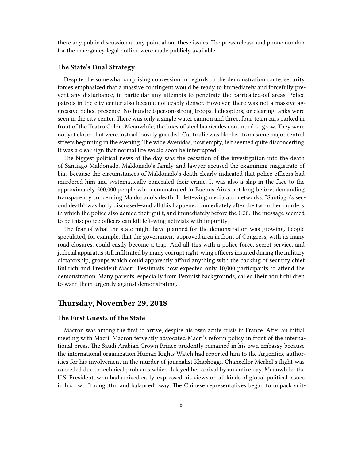there any public discussion at any point about these issues. The press release and phone number for the emergency legal hotline were made publicly available.

### <span id="page-5-0"></span>**The State's Dual Strategy**

Despite the somewhat surprising concession in regards to the demonstration route, security forces emphasized that a massive contingent would be ready to immediately and forcefully prevent any disturbance, in particular any attempts to penetrate the barricaded-off areas. Police patrols in the city center also became noticeably denser. However, there was not a massive aggressive police presence. No hundred-person-strong troops, helicopters, or clearing tanks were seen in the city center. There was only a single water cannon and three, four-team cars parked in front of the Teatro Colón. Meanwhile, the lines of steel barricades continued to grow. They were not yet closed, but were instead loosely guarded. Car traffic was blocked from some major central streets beginning in the evening. The wide Avenidas, now empty, felt seemed quite disconcerting. It was a clear sign that normal life would soon be interrupted.

The biggest political news of the day was the cessation of the investigation into the death of Santiago Maldonado. Maldonado's family and lawyer accused the examining magistrate of bias because the circumstances of Maldonado's death clearly indicated that police officers had murdered him and systematically concealed their crime. It was also a slap in the face to the approximately 500,000 people who demonstrated in Buenos Aires not long before, demanding transparency concerning Maldonado's death. In left-wing media and networks, "Santiago's second death" was hotly discussed—and all this happened immediately after the two other murders, in which the police also denied their guilt, and immediately before the G20. The message seemed to be this: police officers can kill left-wing activists with impunity.

The fear of what the state might have planned for the demonstration was growing. People speculated, for example, that the government-approved area in front of Congress, with its many road closures, could easily become a trap. And all this with a police force, secret service, and judicial apparatus still infiltrated by many corrupt right-wing officers instated during the military dictatorship, groups which could apparently afford anything with the backing of security chief Bullrich and President Macri. Pessimists now expected only 10,000 participants to attend the demonstration. Many parents, especially from Peronist backgrounds, called their adult children to warn them urgently against demonstrating.

# <span id="page-5-1"></span>**Thursday, November 29, 2018**

# <span id="page-5-2"></span>**The First Guests of the State**

Macron was among the first to arrive, despite his own acute crisis in France. After an initial meeting with Macri, Macron fervently advocated Macri's reform policy in front of the international press. The Saudi Arabian Crown Prince prudently remained in his own embassy because the international organization Human Rights Watch had reported him to the Argentine authorities for his involvement in the murder of journalist Khashoggi. Chancellor Merkel's flight was cancelled due to technical problems which delayed her arrival by an entire day. Meanwhile, the U.S. President, who had arrived early, expressed his views on all kinds of global political issues in his own "thoughtful and balanced" way. The Chinese representatives began to unpack suit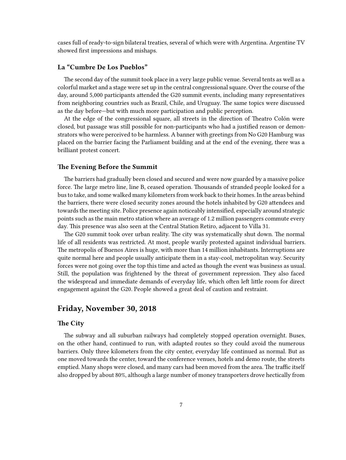cases full of ready-to-sign bilateral treaties, several of which were with Argentina. Argentine TV showed first impressions and mishaps.

## <span id="page-6-0"></span>**La "Cumbre De Los Pueblos"**

The second day of the summit took place in a very large public venue. Several tents as well as a colorful market and a stage were set up in the central congressional square. Over the course of the day, around 5,000 participants attended the G20 summit events, including many representatives from neighboring countries such as Brazil, Chile, and Uruguay. The same topics were discussed as the day before—but with much more participation and public perception.

At the edge of the congressional square, all streets in the direction of Theatro Colón were closed, but passage was still possible for non-participants who had a justified reason or demonstrators who were perceived to be harmless. A banner with greetings from No G20 Hamburg was placed on the barrier facing the Parliament building and at the end of the evening, there was a brilliant protest concert.

#### <span id="page-6-1"></span>**The Evening Before the Summit**

The barriers had gradually been closed and secured and were now guarded by a massive police force. The large metro line, line B, ceased operation. Thousands of stranded people looked for a bus to take, and some walked many kilometers from work back to their homes. In the areas behind the barriers, there were closed security zones around the hotels inhabited by G20 attendees and towards the meeting site. Police presence again noticeably intensified, especially around strategic points such as the main metro station where an average of 1.2 million passengers commute every day. This presence was also seen at the Central Station Retiro, adjacent to Villa 31.

The G20 summit took over urban reality. The city was systematically shut down. The normal life of all residents was restricted. At most, people warily protested against individual barriers. The metropolis of Buenos Aires is huge, with more than 14 million inhabitants. Interruptions are quite normal here and people usually anticipate them in a stay-cool, metropolitan way. Security forces were not going over the top this time and acted as though the event was business as usual. Still, the population was frightened by the threat of government repression. They also faced the widespread and immediate demands of everyday life, which often left little room for direct engagement against the G20. People showed a great deal of caution and restraint.

# <span id="page-6-2"></span>**Friday, November 30, 2018**

# <span id="page-6-3"></span>**The City**

The subway and all suburban railways had completely stopped operation overnight. Buses, on the other hand, continued to run, with adapted routes so they could avoid the numerous barriers. Only three kilometers from the city center, everyday life continued as normal. But as one moved towards the center, toward the conference venues, hotels and demo route, the streets emptied. Many shops were closed, and many cars had been moved from the area. The traffic itself also dropped by about 80%, although a large number of money transporters drove hectically from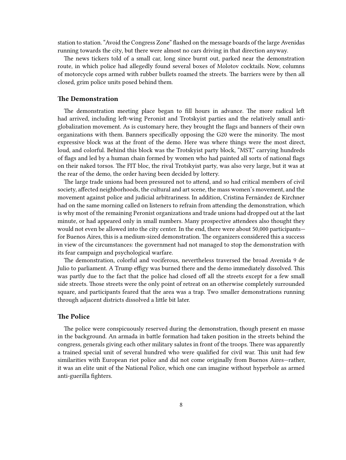station to station. "Avoid the Congress Zone" flashed on the message boards of the large Avenidas running towards the city, but there were almost no cars driving in that direction anyway.

The news tickers told of a small car, long since burnt out, parked near the demonstration route, in which police had allegedly found several boxes of Molotov cocktails. Now, columns of motorcycle cops armed with rubber bullets roamed the streets. The barriers were by then all closed, grim police units posed behind them.

### <span id="page-7-0"></span>**The Demonstration**

The demonstration meeting place began to fill hours in advance. The more radical left had arrived, including left-wing Peronist and Trotskyist parties and the relatively small antiglobalization movement. As is customary here, they brought the flags and banners of their own organizations with them. Banners specifically opposing the G20 were the minority. The most expressive block was at the front of the demo. Here was where things were the most direct, loud, and colorful. Behind this block was the Trotskyist party block, "MST," carrying hundreds of flags and led by a human chain formed by women who had painted all sorts of national flags on their naked torsos. The FIT bloc, the rival Trotskyist party, was also very large, but it was at the rear of the demo, the order having been decided by lottery.

The large trade unions had been pressured not to attend, and so had critical members of civil society, affected neighborhoods, the cultural and art scene, the mass women's movement, and the movement against police and judicial arbitrariness. In addition, Cristina Fernández de Kirchner had on the same morning called on listeners to refrain from attending the demonstration, which is why most of the remaining Peronist organizations and trade unions had dropped out at the last minute, or had appeared only in small numbers. Many prospective attendees also thought they would not even be allowed into the city center. In the end, there were about 50,000 participants for Buenos Aires, this is a medium-sized demonstration. The organizers considered this a success in view of the circumstances: the government had not managed to stop the demonstration with its fear campaign and psychological warfare.

The demonstration, colorful and vociferous, nevertheless traversed the broad Avenida 9 de Julio to parliament. A Trump effigy was burned there and the demo immediately dissolved. This was partly due to the fact that the police had closed off all the streets except for a few small side streets. Those streets were the only point of retreat on an otherwise completely surrounded square, and participants feared that the area was a trap. Two smaller demonstrations running through adjacent districts dissolved a little bit later.

# <span id="page-7-1"></span>**The Police**

The police were conspicuously reserved during the demonstration, though present en masse in the background. An armada in battle formation had taken position in the streets behind the congress, generals giving each other military salutes in front of the troops. There was apparently a trained special unit of several hundred who were qualified for civil war. This unit had few similarities with European riot police and did not come originally from Buenos Aires—rather, it was an elite unit of the National Police, which one can imagine without hyperbole as armed anti-guerilla fighters.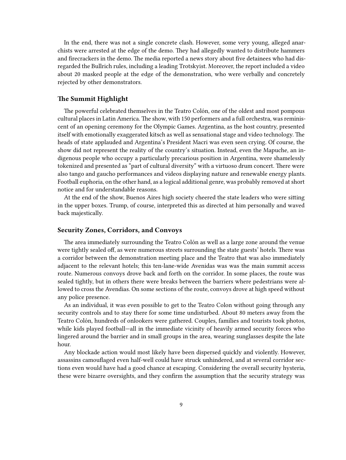In the end, there was not a single concrete clash. However, some very young, alleged anarchists were arrested at the edge of the demo. They had allegedly wanted to distribute hammers and firecrackers in the demo. The media reported a news story about five detainees who had disregarded the Bullrich rules, including a leading Trotskyist. Moreover, the report included a video about 20 masked people at the edge of the demonstration, who were verbally and concretely rejected by other demonstrators.

# <span id="page-8-0"></span>**The Summit Highlight**

The powerful celebrated themselves in the Teatro Colón, one of the oldest and most pompous cultural places in Latin America. The show, with 150 performers and a full orchestra, was reminiscent of an opening ceremony for the Olympic Games. Argentina, as the host country, presented itself with emotionally exaggerated kitsch as well as sensational stage and video technology. The heads of state applauded and Argentina's President Macri was even seen crying. Of course, the show did not represent the reality of the country's situation. Instead, even the Mapuche, an indigenous people who occupy a particularly precarious position in Argentina, were shamelessly tokenized and presented as "part of cultural diversity" with a virtuoso drum concert. There were also tango and gaucho performances and videos displaying nature and renewable energy plants. Football euphoria, on the other hand, as a logical additional genre, was probably removed at short notice and for understandable reasons.

At the end of the show, Buenos Aires high society cheered the state leaders who were sitting in the upper boxes. Trump, of course, interpreted this as directed at him personally and waved back majestically.

#### <span id="page-8-1"></span>**Security Zones, Corridors, and Convoys**

The area immediately surrounding the Teatro Colón as well as a large zone around the venue were tightly sealed off, as were numerous streets surrounding the state guests' hotels. There was a corridor between the demonstration meeting place and the Teatro that was also immediately adjacent to the relevant hotels; this ten-lane-wide Avenidas was was the main summit access route. Numerous convoys drove back and forth on the corridor. In some places, the route was sealed tightly, but in others there were breaks between the barriers where pedestrians were allowed to cross the Avendias. On some sections of the route, convoys drove at high speed without any police presence.

As an individual, it was even possible to get to the Teatro Colon without going through any security controls and to stay there for some time undisturbed. About 80 meters away from the Teatro Colón, hundreds of onlookers were gathered. Couples, families and tourists took photos, while kids played football—all in the immediate vicinity of heavily armed security forces who lingered around the barrier and in small groups in the area, wearing sunglasses despite the late hour.

Any blockade action would most likely have been dispersed quickly and violently. However, assassins camouflaged even half-well could have struck unhindered, and at several corridor sections even would have had a good chance at escaping. Considering the overall security hysteria, these were bizarre oversights, and they confirm the assumption that the security strategy was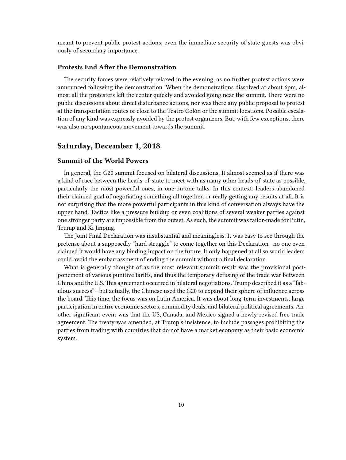meant to prevent public protest actions; even the immediate security of state guests was obviously of secondary importance.

# <span id="page-9-0"></span>**Protests End After the Demonstration**

The security forces were relatively relaxed in the evening, as no further protest actions were announced following the demonstration. When the demonstrations dissolved at about 6pm, almost all the protesters left the center quickly and avoided going near the summit. There were no public discussions about direct disturbance actions, nor was there any public proposal to protest at the transportation routes or close to the Teatro Colón or the summit locations. Possible escalation of any kind was expressly avoided by the protest organizers. But, with few exceptions, there was also no spontaneous movement towards the summit.

# <span id="page-9-1"></span>**Saturday, December 1, 2018**

# <span id="page-9-2"></span>**Summit of the World Powers**

In general, the G20 summit focused on bilateral discussions. It almost seemed as if there was a kind of race between the heads-of-state to meet with as many other heads-of-state as possible, particularly the most powerful ones, in one-on-one talks. In this context, leaders abandoned their claimed goal of negotiating something all together, or really getting any results at all. It is not surprising that the more powerful participants in this kind of conversation always have the upper hand. Tactics like a pressure buildup or even coalitions of several weaker parties against one stronger party are impossible from the outset. As such, the summit was tailor-made for Putin, Trump and Xi Jinping.

The Joint Final Declaration was insubstantial and meaningless. It was easy to see through the pretense about a supposedly "hard struggle" to come together on this Declaration—no one even claimed it would have any binding impact on the future. It only happened at all so world leaders could avoid the embarrassment of ending the summit without a final declaration.

What is generally thought of as the most relevant summit result was the provisional postponement of various punitive tariffs, and thus the temporary defusing of the trade war between China and the U.S. This agreement occurred in bilateral negotiations. Trump described it as a "fabulous success"—but actually, the Chinese used the G20 to expand their sphere of influence across the board. This time, the focus was on Latin America. It was about long-term investments, large participation in entire economic sectors, commodity deals, and bilateral political agreements. Another significant event was that the US, Canada, and Mexico signed a newly-revised free trade agreement. The treaty was amended, at Trump's insistence, to include passages prohibiting the parties from trading with countries that do not have a market economy as their basic economic system.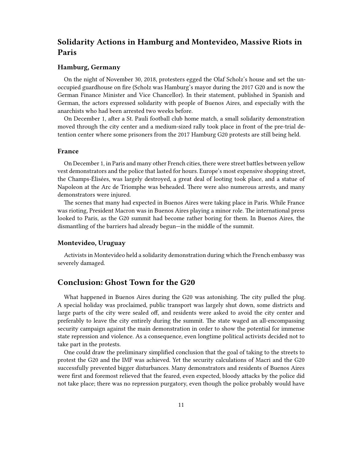# <span id="page-10-0"></span>**Solidarity Actions in Hamburg and Montevideo, Massive Riots in Paris**

## <span id="page-10-1"></span>**Hamburg, Germany**

On the night of November 30, 2018, protesters egged the Olaf Scholz's house and set the unoccupied guardhouse on fire (Scholz was Hamburg's mayor during the 2017 G20 and is now the German Finance Minister and Vice Chancellor). In their statement, published in Spanish and German, the actors expressed solidarity with people of Buenos Aires, and especially with the anarchists who had been arrested two weeks before.

On December 1, after a St. Pauli football club home match, a small solidarity demonstration moved through the city center and a medium-sized rally took place in front of the pre-trial detention center where some prisoners from the 2017 Hamburg G20 protests are still being held.

### <span id="page-10-2"></span>**France**

On December 1, in Paris and many other French cities, there were street battles between yellow vest demonstrators and the police that lasted for hours. Europe's most expensive shopping street, the Champs-Élisées, was largely destroyed, a great deal of looting took place, and a statue of Napoleon at the Arc de Triomphe was beheaded. There were also numerous arrests, and many demonstrators were injured.

The scenes that many had expected in Buenos Aires were taking place in Paris. While France was rioting, President Macron was in Buenos Aires playing a minor role. The international press looked to Paris, as the G20 summit had become rather boring for them. In Buenos Aires, the dismantling of the barriers had already begun—in the middle of the summit.

### <span id="page-10-3"></span>**Montevideo, Uruguay**

Activists in Montevideo held a solidarity demonstration during which the French embassy was severely damaged.

# <span id="page-10-4"></span>**Conclusion: Ghost Town for the G20**

What happened in Buenos Aires during the G20 was astonishing. The city pulled the plug. A special holiday was proclaimed, public transport was largely shut down, some districts and large parts of the city were sealed off, and residents were asked to avoid the city center and preferably to leave the city entirely during the summit. The state waged an all-encompassing security campaign against the main demonstration in order to show the potential for immense state repression and violence. As a consequence, even longtime political activists decided not to take part in the protests.

One could draw the preliminary simplified conclusion that the goal of taking to the streets to protest the G20 and the IMF was achieved. Yet the security calculations of Macri and the G20 successfully prevented bigger disturbances. Many demonstrators and residents of Buenos Aires were first and foremost relieved that the feared, even expected, bloody attacks by the police did not take place; there was no repression purgatory, even though the police probably would have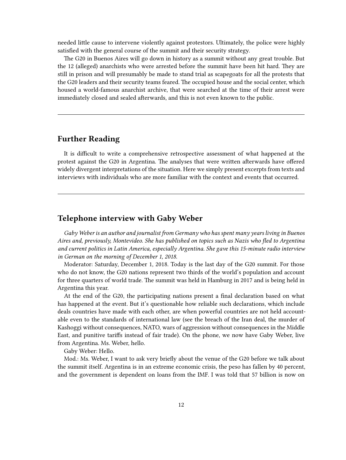needed little cause to intervene violently against protestors. Ultimately, the police were highly satisfied with the general course of the summit and their security strategy.

The G20 in Buenos Aires will go down in history as a summit without any great trouble. But the 12 (alleged) anarchists who were arrested before the summit have been hit hard. They are still in prison and will presumably be made to stand trial as scapegoats for all the protests that the G20 leaders and their security teams feared. The occupied house and the social center, which housed a world-famous anarchist archive, that were searched at the time of their arrest were immediately closed and sealed afterwards, and this is not even known to the public.

# <span id="page-11-0"></span>**Further Reading**

It is difficult to write a comprehensive retrospective assessment of what happened at the protest against the G20 in Argentina. The analyses that were written afterwards have offered widely divergent interpretations of the situation. Here we simply present excerpts from texts and interviews with individuals who are more familiar with the context and events that occurred.

# <span id="page-11-1"></span>**Telephone interview with Gaby Weber**

*Gaby Weber is an author and journalist from Germany who has spent many years living in Buenos Aires and, previously, Montevideo. She has published on topics such as Nazis who fled to Argentina and current politics in Latin America, especially Argentina. She gave this 15-minute radio interview in German on the morning of December 1, 2018.*

Moderator: Saturday, December 1, 2018. Today is the last day of the G20 summit. For those who do not know, the G20 nations represent two thirds of the world's population and account for three quarters of world trade. The summit was held in Hamburg in 2017 and is being held in Argentina this year.

At the end of the G20, the participating nations present a final declaration based on what has happened at the event. But it's questionable how reliable such declarations, which include deals countries have made with each other, are when powerful countries are not held accountable even to the standards of international law (see the breach of the Iran deal, the murder of Kashoggi without consequences, NATO, wars of aggression without consequences in the Middle East, and punitive tariffs instead of fair trade). On the phone, we now have Gaby Weber, live from Argentina. Ms. Weber, hello.

Gaby Weber: Hello.

Mod.: Ms. Weber, I want to ask very briefly about the venue of the G20 before we talk about the summit itself. Argentina is in an extreme economic crisis, the peso has fallen by 40 percent, and the government is dependent on loans from the IMF. I was told that 57 billion is now on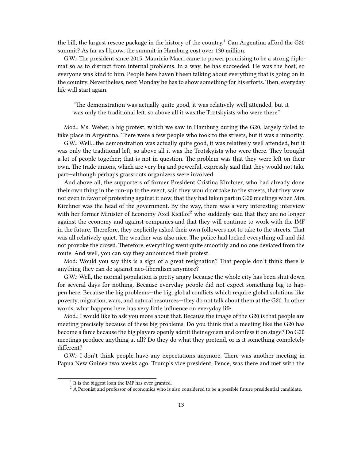the bill, the largest rescue package in the history of the country.<sup>1</sup> Can Argentina afford the G20 summit? As far as I know, the summit in Hamburg cost over 130 million.

G.W.: The president since 2015, Mauricio Macri came to power promising to be a strong diplomat so as to distract from internal problems. In a way, he has succeeded. He was the host, so everyone was kind to him. People here haven't been talking about everything that is going on in the country. Nevertheless, next Monday he has to show something for his efforts. Then, everyday life will start again.

"The demonstration was actually quite good, it was relatively well attended, but it was only the traditional left, so above all it was the Trotskyists who were there."

Mod.: Ms. Weber, a big protest, which we saw in Hamburg during the G20, largely failed to take place in Argentina. There were a few people who took to the streets, but it was a minority.

G.W.: Well…the demonstration was actually quite good, it was relatively well attended, but it was only the traditional left, so above all it was the Trotskyists who were there. They brought a lot of people together; that is not in question. The problem was that they were left on their own. The trade unions, which are very big and powerful, expressly said that they would not take part—although perhaps grassroots organizers were involved.

And above all, the supporters of former President Cristina Kirchner, who had already done their own thing in the run-up to the event, said they would not take to the streets, that they were not even in favor of protesting against it now, that they had taken part in G20 meetings when Mrs. Kirchner was the head of the government. By the way, there was a very interesting interview with her former Minister of Economy Axel Kicillof<sup>2</sup> who suddenly said that they are no longer against the economy and against companies and that they will continue to work with the IMF in the future. Therefore, they explicitly asked their own followers not to take to the streets. That was all relatively quiet. The weather was also nice. The police had locked everything off and did not provoke the crowd. Therefore, everything went quite smoothly and no one deviated from the route. And well, you can say they announced their protest.

Mod: Would you say this is a sign of a great resignation? That people don't think there is anything they can do against neo-liberalism anymore?

G.W.: Well, the normal population is pretty angry because the whole city has been shut down for several days for nothing. Because everyday people did not expect something big to happen here. Because the big problems—the big, global conflicts which require global solutions like poverty, migration, wars, and natural resources—they do not talk about them at the G20. In other words, what happens here has very little influence on everyday life.

Mod.: I would like to ask you more about that. Because the image of the G20 is that people are meeting precisely because of these big problems. Do you think that a meeting like the G20 has become a farce because the big players openly admit their egoism and confess it on stage? Do G20 meetings produce anything at all? Do they do what they pretend, or is it something completely different?

G.W.: I don't think people have any expectations anymore. There was another meeting in Papua New Guinea two weeks ago. Trump's vice president, Pence, was there and met with the

<sup>&</sup>lt;sup>1</sup> It is the biggest loan the IMF has ever granted.

<sup>&</sup>lt;sup>2</sup> A Peronist and professor of economics who is also considered to be a possible future presidential candidate.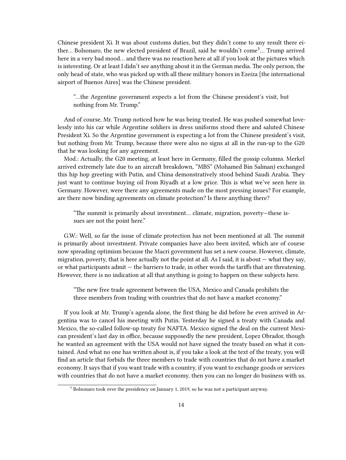Chinese president Xi. It was about customs duties, but they didn't come to any result there either... Bolsonaro, the new elected president of Brazil, said he wouldn't come<sup>3</sup>... Trump arrived here in a very bad mood… and there was no reaction here at all if you look at the pictures which is interesting. Or at least I didn't see anything about it in the German media. The only person, the only head of state, who was picked up with all these military honors in Ezeiza [the international airport of Buenos Aires] was the Chinese president.

"…the Argentine government expects a lot from the Chinese president's visit, but nothing from Mr. Trump."

And of course, Mr. Trump noticed how he was being treated. He was pushed somewhat lovelessly into his car while Argentine soldiers in dress uniforms stood there and saluted Chinese President Xi. So the Argentine government is expecting a lot from the Chinese president's visit, but nothing from Mr. Trump, because there were also no signs at all in the run-up to the G20 that he was looking for any agreement.

Mod.: Actually, the G20 meeting, at least here in Germany, filled the gossip columns. Merkel arrived extremely late due to an aircraft breakdown, "MBS" (Mohamed Bin Salman) exchanged this hip hop greeting with Putin, and China demonstratively stood behind Saudi Arabia. They just want to continue buying oil from Riyadh at a low price. This is what we've seen here in Germany. However, were there any agreements made on the most pressing issues? For example, are there now binding agreements on climate protection? Is there anything there?

"The summit is primarily about investment… climate, migration, poverty—these issues are not the point here."

G.W.: Well, so far the issue of climate protection has not been mentioned at all. The summit is primarily about investment. Private companies have also been invited, which are of course now spreading optimism because the Macri government has set a new course. However, climate, migration, poverty, that is here actually not the point at all. As I said, it is about — what they say, or what participants admit — the barriers to trade, in other words the tariffs that are threatening. However, there is no indication at all that anything is going to happen on these subjects here.

"The new free trade agreement between the USA, Mexico and Canada prohibits the three members from trading with countries that do not have a market economy."

If you look at Mr. Trump's agenda alone, the first thing he did before he even arrived in Argentina was to cancel his meeting with Putin. Yesterday he signed a treaty with Canada and Mexico, the so-called follow-up treaty for NAFTA. Mexico signed the deal on the current Mexican president's last day in office, because supposedly the new president, Lopez Obrador, though he wanted an agreement with the USA would not have signed the treaty based on what it contained. And what no one has written about is, if you take a look at the text of the treaty, you will find an article that forbids the three members to trade with countries that do not have a market economy. It says that if you want trade with a country, if you want to exchange goods or services with countries that do not have a market economy, then you can no longer do business with us.

<sup>&</sup>lt;sup>3</sup> Bolsonaro took over the presidency on January 1, 2019, so he was not a participant anyway.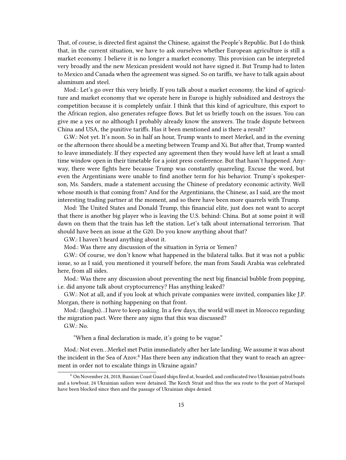That, of course, is directed first against the Chinese, against the People's Republic. But I do think that, in the current situation, we have to ask ourselves whether European agriculture is still a market economy. I believe it is no longer a market economy. This provision can be interpreted very broadly and the new Mexican president would not have signed it. But Trump had to listen to Mexico and Canada when the agreement was signed. So on tariffs, we have to talk again about aluminum and steel.

Mod.: Let's go over this very briefly. If you talk about a market economy, the kind of agriculture and market economy that we operate here in Europe is highly subsidized and destroys the competition because it is completely unfair. I think that this kind of agriculture, this export to the African region, also generates refugee flows. But let us briefly touch on the issues. You can give me a yes or no although I probably already know the answers. The trade dispute between China and USA, the punitive tariffs. Has it been mentioned and is there a result?

G.W.: Not yet. It's noon. So in half an hour, Trump wants to meet Merkel, and in the evening or the afternoon there should be a meeting between Trump and Xi. But after that, Trump wanted to leave immediately. If they expected any agreement then they would have left at least a small time window open in their timetable for a joint press conference. But that hasn't happened. Anyway, there were fights here because Trump was constantly quarreling. Excuse the word, but even the Argentinians were unable to find another term for his behavior. Trump's spokesperson, Ms. Sanders, made a statement accusing the Chinese of predatory economic activity. Well whose mouth is that coming from? And for the Argentinians, the Chinese, as I said, are the most interesting trading partner at the moment, and so there have been more quarrels with Trump.

Mod: The United States and Donald Trump, this financial elite, just does not want to accept that there is another big player who is leaving the U.S. behind: China. But at some point it will dawn on them that the train has left the station. Let's talk about international terrorism. That should have been an issue at the G20. Do you know anything about that?

G.W.: I haven't heard anything about it.

Mod.: Was there any discussion of the situation in Syria or Yemen?

G.W.: Of course, we don't know what happened in the bilateral talks. But it was not a public issue, so as I said, you mentioned it yourself before, the man from Saudi Arabia was celebrated here, from all sides.

Mod.: Was there any discussion about preventing the next big financial bubble from popping, i.e. did anyone talk about cryptocurrency? Has anything leaked?

G.W.: Not at all, and if you look at which private companies were invited, companies like J.P. Morgan, there is nothing happening on that front.

Mod.: (laughs)…I have to keep asking. In a few days, the world will meet in Morocco regarding the migration pact. Were there any signs that this was discussed?

G.W.: No.

"When a final declaration is made, it's going to be vague."

Mod.: Not even…Merkel met Putin immediately after her late landing. We assume it was about the incident in the Sea of Azov.<sup>4</sup> Has there been any indication that they want to reach an agreement in order not to escalate things in Ukraine again?

<sup>4</sup> On November 24, 2018, Russian Coast Guard ships fired at, boarded, and confiscated two Ukrainian patrol boats and a towboat; 24 Ukrainian sailors were detained. The Kerch Strait and thus the sea route to the port of Mariupol have been blocked since then and the passage of Ukrainian ships denied.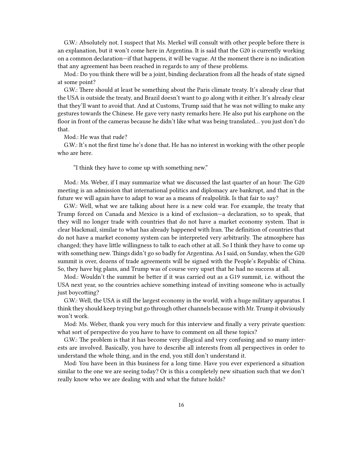G.W.: Absolutely not. I suspect that Ms. Merkel will consult with other people before there is an explanation, but it won't come here in Argentina. It is said that the G20 is currently working on a common declaration—if that happens, it will be vague. At the moment there is no indication that any agreement has been reached in regards to any of these problems.

Mod.: Do you think there will be a joint, binding declaration from all the heads of state signed at some point?

G.W.: There should at least be something about the Paris climate treaty. It's already clear that the USA is outside the treaty, and Brazil doesn't want to go along with it either. It's already clear that they'll want to avoid that. And at Customs, Trump said that he was not willing to make any gestures towards the Chinese. He gave very nasty remarks here. He also put his earphone on the floor in front of the cameras because he didn't like what was being translated… you just don't do that.

Mod.: He was that rude?

G.W.: It's not the first time he's done that. He has no interest in working with the other people who are here.

"I think they have to come up with something new."

Mod.: Ms. Weber, if I may summarize what we discussed the last quarter of an hour: The G20 meeting is an admission that international politics and diplomacy are bankrupt, and that in the future we will again have to adapt to war as a means of realpolitik. Is that fair to say?

G.W.: Well, what we are talking about here is a new cold war. For example, the treaty that Trump forced on Canada and Mexico is a kind of exclusion—a declaration, so to speak, that they will no longer trade with countries that do not have a market economy system. That is clear blackmail, similar to what has already happened with Iran. The definition of countries that do not have a market economy system can be interpreted very arbitrarily. The atmosphere has changed; they have little willingness to talk to each other at all. So I think they have to come up with something new. Things didn't go so badly for Argentina. As I said, on Sunday, when the G20 summit is over, dozens of trade agreements will be signed with the People's Republic of China. So, they have big plans, and Trump was of course very upset that he had no success at all.

Mod.: Wouldn't the summit be better if it was carried out as a G19 summit, i.e. without the USA next year, so the countries achieve something instead of inviting someone who is actually just boycotting?

G.W.: Well, the USA is still the largest economy in the world, with a huge military apparatus. I think they should keep trying but go through other channels because with Mr. Trump it obviously won't work.

Mod: Ms. Weber, thank you very much for this interview and finally a very private question: what sort of perspective do you have to have to comment on all these topics?

G.W.: The problem is that it has become very illogical and very confusing and so many interests are involved. Basically, you have to describe all interests from all perspectives in order to understand the whole thing, and in the end, you still don't understand it.

Mod: You have been in this business for a long time. Have you ever experienced a situation similar to the one we are seeing today? Or is this a completely new situation such that we don't really know who we are dealing with and what the future holds?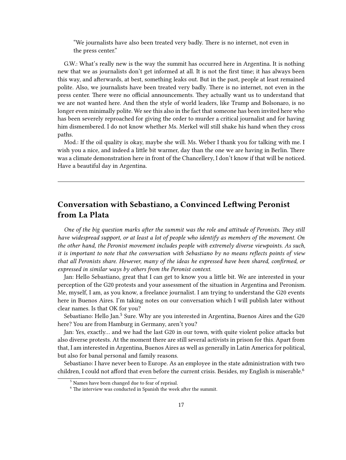"We journalists have also been treated very badly. There is no internet, not even in the press center."

G.W.: What's really new is the way the summit has occurred here in Argentina. It is nothing new that we as journalists don't get informed at all. It is not the first time; it has always been this way, and afterwards, at best, something leaks out. But in the past, people at least remained polite. Also, we journalists have been treated very badly. There is no internet, not even in the press center. There were no official announcements. They actually want us to understand that we are not wanted here. And then the style of world leaders, like Trump and Bolsonaro, is no longer even minimally polite. We see this also in the fact that someone has been invited here who has been severely reproached for giving the order to murder a critical journalist and for having him dismembered. I do not know whether Ms. Merkel will still shake his hand when they cross paths.

Mod.: If the oil quality is okay, maybe she will. Ms. Weber I thank you for talking with me. I wish you a nice, and indeed a little bit warmer, day than the one we are having in Berlin. There was a climate demonstration here in front of the Chancellery, I don't know if that will be noticed. Have a beautiful day in Argentina.

# <span id="page-16-0"></span>**Conversation with Sebastiano, a Convinced Leftwing Peronist from La Plata**

*One of the big question marks after the summit was the role and attitude of Peronists. They still have widespread support, or at least a lot of people who identify as members of the movement. On the other hand, the Peronist movement includes people with extremely diverse viewpoints. As such, it is important to note that the conversation with Sebastiano by no means reflects points of view that all Peronists share. However, many of the ideas he expressed have been shared, confirmed, or expressed in similar ways by others from the Peronist context.*

Jan: Hello Sebastiano, great that I can get to know you a little bit. We are interested in your perception of the G20 protests and your assessment of the situation in Argentina and Peronism. Me, myself, I am, as you know, a freelance journalist. I am trying to understand the G20 events here in Buenos Aires. I'm taking notes on our conversation which I will publish later without clear names. Is that OK for you?

Sebastiano: Hello Jan.<sup>5</sup> Sure. Why are you interested in Argentina, Buenos Aires and the G20 here? You are from Hamburg in Germany, aren't you?

Jan: Yes, exactly… and we had the last G20 in our town, with quite violent police attacks but also diverse protests. At the moment there are still several activists in prison for this. Apart from that, I am interested in Argentina, Buenos Aires as well as generally in Latin America for political, but also for banal personal and family reasons.

Sebastiano: I have never been to Europe. As an employee in the state administration with two children, I could not afford that even before the current crisis. Besides, my English is miserable.<sup>6</sup>

<sup>5</sup> Names have been changed due to fear of reprisal.

 $6$  The interview was conducted in Spanish the week after the summit.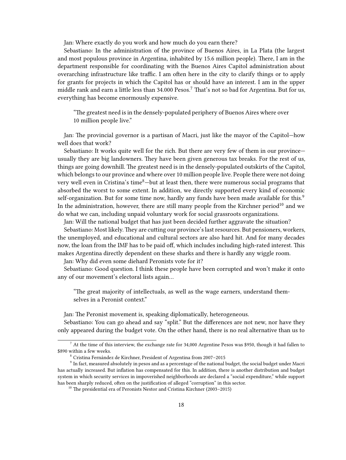Jan: Where exactly do you work and how much do you earn there?

Sebastiano: In the administration of the province of Buenos Aires, in La Plata (the largest and most populous province in Argentina, inhabited by 15.6 million people). There, I am in the department responsible for coordinating with the Buenos Aires Capitol administration about overarching infrastructure like traffic. I am often here in the city to clarify things or to apply for grants for projects in which the Capitol has or should have an interest. I am in the upper middle rank and earn a little less than  $34.000$  Pesos.<sup>7</sup> That's not so bad for Argentina. But for us, everything has become enormously expensive.

"The greatest need is in the densely-populated periphery of Buenos Aires where over 10 million people live."

Jan: The provincial governor is a partisan of Macri, just like the mayor of the Capitol—how well does that work?

Sebastiano: It works quite well for the rich. But there are very few of them in our province usually they are big landowners. They have been given generous tax breaks. For the rest of us, things are going downhill. The greatest need is in the densely-populated outskirts of the Capitol, which belongs to our province and where over 10 million people live. People there were not doing very well even in Cristina's time<sup>8</sup>-but at least then, there were numerous social programs that absorbed the worst to some extent. In addition, we directly supported every kind of economic self-organization. But for some time now, hardly any funds have been made available for this.<sup>9</sup> In the administration, however, there are still many people from the Kirchner period<sup>10</sup> and we do what we can, including unpaid voluntary work for social grassroots organizations.

Jan: Will the national budget that has just been decided further aggravate the situation?

Sebastiano: Most likely.They are cutting our province's last resources. But pensioners, workers, the unemployed, and educational and cultural sectors are also hard hit. And for many decades now, the loan from the IMF has to be paid off, which includes including high-rated interest. This makes Argentina directly dependent on these sharks and there is hardly any wiggle room.

Jan: Why did even some diehard Peronists vote for it?

Sebastiano: Good question. I think these people have been corrupted and won't make it onto any of our movement's electoral lists again…

"The great majority of intellectuals, as well as the wage earners, understand themselves in a Peronist context."

Jan: The Peronist movement is, speaking diplomatically, heterogeneous.

Sebastiano: You can go ahead and say "split." But the differences are not new, nor have they only appeared during the budget vote. On the other hand, there is no real alternative than us to

 $7$  At the time of this interview, the exchange rate for 34,000 Argentine Pesos was \$950, though it had fallen to \$890 within a few weeks.

<sup>8</sup> Cristina Fernández de Kirchner, President of Argentina from 2007–2015

 $^9$  In fact, measured absolutely in pesos and as a percentage of the national budget, the social budget under Macri has actually increased. But inflation has compensated for this. In addition, there is another distribution and budget system in which security services in impoverished neighborhoods are declared a "social expenditure," while support has been sharply reduced, often on the justification of alleged "corruption" in this sector.

<sup>&</sup>lt;sup>10</sup> The presidential era of Peronists Nestor and Cristina Kirchner (2003–2015)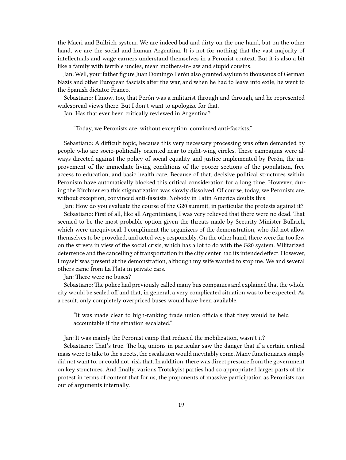the Macri and Bullrich system. We are indeed bad and dirty on the one hand, but on the other hand, we are the social and human Argentina. It is not for nothing that the vast majority of intellectuals and wage earners understand themselves in a Peronist context. But it is also a bit like a family with terrible uncles, mean mothers-in-law and stupid cousins.

Jan: Well, your father figure Juan Domingo Perón also granted asylum to thousands of German Nazis and other European fascists after the war, and when he had to leave into exile, he went to the Spanish dictator Franco.

Sebastiano: I know, too, that Perón was a militarist through and through, and he represented widespread views there. But I don't want to apologize for that.

Jan: Has that ever been critically reviewed in Argentina?

"Today, we Peronists are, without exception, convinced anti-fascists."

Sebastiano: A difficult topic, because this very necessary processing was often demanded by people who are socio-politically oriented near to right-wing circles. These campaigns were always directed against the policy of social equality and justice implemented by Perón, the improvement of the immediate living conditions of the poorer sections of the population, free access to education, and basic health care. Because of that, decisive political structures within Peronism have automatically blocked this critical consideration for a long time. However, during the Kirchner era this stigmatization was slowly dissolved. Of course, today, we Peronists are, without exception, convinced anti-fascists. Nobody in Latin America doubts this.

Jan: How do you evaluate the course of the G20 summit, in particular the protests against it? Sebastiano: First of all, like all Argentinians, I was very relieved that there were no dead. That seemed to be the most probable option given the threats made by Security Minister Bullrich, which were unequivocal. I compliment the organizers of the demonstration, who did not allow themselves to be provoked, and acted very responsibly. On the other hand, there were far too few on the streets in view of the social crisis, which has a lot to do with the G20 system. Militarized deterrence and the cancelling of transportation in the city center had its intended effect. However, I myself was present at the demonstration, although my wife wanted to stop me. We and several others came from La Plata in private cars.

Jan: There were no buses?

Sebastiano: The police had previously called many bus companies and explained that the whole city would be sealed off and that, in general, a very complicated situation was to be expected. As a result, only completely overpriced buses would have been available.

"It was made clear to high-ranking trade union officials that they would be held accountable if the situation escalated."

Jan: It was mainly the Peronist camp that reduced the mobilization, wasn't it?

Sebastiano: That's true. The big unions in particular saw the danger that if a certain critical mass were to take to the streets, the escalation would inevitably come. Many functionaries simply did not want to, or could not, risk that. In addition, there was direct pressure from the government on key structures. And finally, various Trotskyist parties had so appropriated larger parts of the protest in terms of content that for us, the proponents of massive participation as Peronists ran out of arguments internally.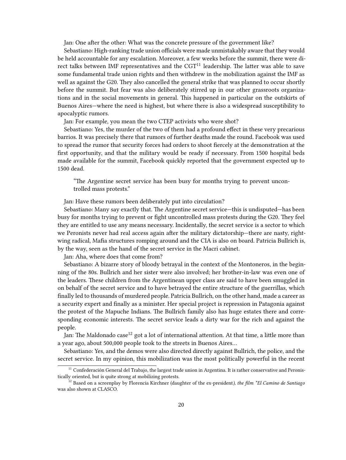Jan: One after the other: What was the concrete pressure of the government like?

Sebastiano: High-ranking trade union officials were made unmistakably aware that they would be held accountable for any escalation. Moreover, a few weeks before the summit, there were direct talks between IMF representatives and the  $CGT<sup>11</sup>$  leadership. The latter was able to save some fundamental trade union rights and then withdrew in the mobilization against the IMF as well as against the G20. They also cancelled the general strike that was planned to occur shortly before the summit. But fear was also deliberately stirred up in our other grassroots organizations and in the social movements in general. This happened in particular on the outskirts of Buenos Aires—where the need is highest, but where there is also a widespread susceptibility to apocalyptic rumors.

Jan: For example, you mean the two CTEP activists who were shot?

Sebastiano: Yes, the murder of the two of them had a profound effect in these very precarious barrios. It was precisely there that rumors of further deaths made the round. Facebook was used to spread the rumor that security forces had orders to shoot fiercely at the demonstration at the first opportunity, and that the military would be ready if necessary. From 1500 hospital beds made available for the summit, Facebook quickly reported that the government expected up to 1500 dead.

"The Argentine secret service has been busy for months trying to prevent uncontrolled mass protests."

Jan: Have these rumors been deliberately put into circulation?

Sebastiano: Many say exactly that. The Argentine secret service—this is undisputed—has been busy for months trying to prevent or fight uncontrolled mass protests during the G20. They feel they are entitled to use any means necessary. Incidentally, the secret service is a sector to which we Peronists never had real access again after the military dictatorship—there are nasty, rightwing radical, Mafia structures romping around and the CIA is also on board. Patricia Bullrich is, by the way, seen as the hand of the secret service in the Macri cabinet.

Jan: Aha, where does that come from?

Sebastiano: A bizarre story of bloody betrayal in the context of the Montoneros, in the beginning of the 80s. Bullrich and her sister were also involved; her brother-in-law was even one of the leaders. These children from the Argentinean upper class are said to have been smuggled in on behalf of the secret service and to have betrayed the entire structure of the guerrillas, which finally led to thousands of murdered people. Patricia Bullrich, on the other hand, made a career as a security expert and finally as a minister. Her special project is repression in Patagonia against the protest of the Mapuche Indians. The Bullrich family also has huge estates there and corresponding economic interests. The secret service leads a dirty war for the rich and against the people.

Jan: The Maldonado case<sup>12</sup> got a lot of international attention. At that time, a little more than a year ago, about 500,000 people took to the streets in Buenos Aires…

Sebastiano: Yes, and the demos were also directed directly against Bullrich, the police, and the secret service. In my opinion, this mobilization was the most politically powerful in the recent

 $11$  Confederación General del Trabajo, the largest trade union in Argentina. It is rather conservative and Peronistically oriented, but is quite strong at mobilizing protests.

<sup>12</sup> Based on a screenplay by Florencia Kirchner (daughter of the ex-president*), the film \*El Camino de Santiago* was also shown at CLASCO.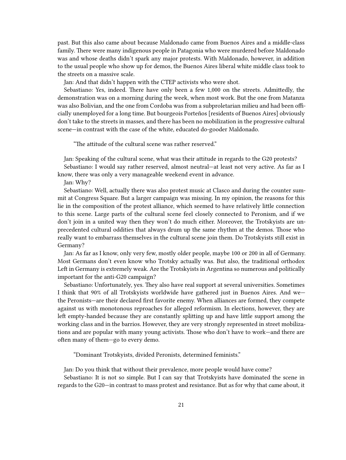past. But this also came about because Maldonado came from Buenos Aires and a middle-class family. There were many indigenous people in Patagonia who were murdered before Maldonado was and whose deaths didn't spark any major protests. With Maldonado, however, in addition to the usual people who show up for demos, the Buenos Aires liberal white middle class took to the streets on a massive scale.

Jan: And that didn't happen with the CTEP activists who were shot.

Sebastiano: Yes, indeed. There have only been a few 1,000 on the streets. Admittedly, the demonstration was on a morning during the week, when most work. But the one from Matanza was also Bolivian, and the one from Cordoba was from a subproletarian milieu and had been officially unemployed for a long time. But bourgeois Porteños [residents of Buenos Aires] obviously don't take to the streets in masses, and there has been no mobilization in the progressive cultural scene—in contrast with the case of the white, educated do-gooder Maldonado.

"The attitude of the cultural scene was rather reserved."

Jan: Speaking of the cultural scene, what was their attitude in regards to the G20 protests? Sebastiano: I would say rather reserved, almost neutral—at least not very active. As far as I

know, there was only a very manageable weekend event in advance.

Jan: Why?

Sebastiano: Well, actually there was also protest music at Clasco and during the counter summit at Congress Square. But a larger campaign was missing. In my opinion, the reasons for this lie in the composition of the protest alliance, which seemed to have relatively little connection to this scene. Large parts of the cultural scene feel closely connected to Peronism, and if we don't join in a united way then they won't do much either. Moreover, the Trotskyists are unprecedented cultural oddities that always drum up the same rhythm at the demos. Those who really want to embarrass themselves in the cultural scene join them. Do Trotskyists still exist in Germany?

Jan: As far as I know, only very few, mostly older people, maybe 100 or 200 in all of Germany. Most Germans don't even know who Trotsky actually was. But also, the traditional orthodox Left in Germany is extremely weak. Are the Trotskyists in Argentina so numerous and politically important for the anti-G20 campaign?

Sebastiano: Unfortunately, yes. They also have real support at several universities. Sometimes I think that 90% of all Trotskyists worldwide have gathered just in Buenos Aires. And we the Peronists—are their declared first favorite enemy. When alliances are formed, they compete against us with monotonous reproaches for alleged reformism. In elections, however, they are left empty-handed because they are constantly splitting up and have little support among the working class and in the barrios. However, they are very strongly represented in street mobilizations and are popular with many young activists. Those who don't have to work—and there are often many of them—go to every demo.

"Dominant Trotskyists, divided Peronists, determined feminists."

Jan: Do you think that without their prevalence, more people would have come?

Sebastiano: It is not so simple. But I can say that Trotskyists have dominated the scene in regards to the G20—in contrast to mass protest and resistance. But as for why that came about, it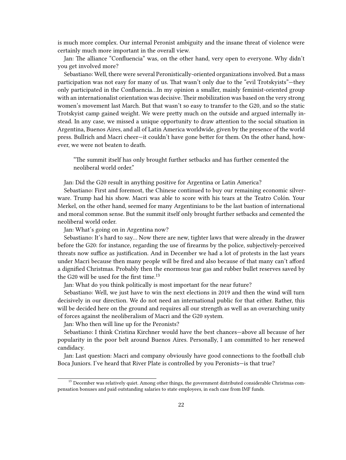is much more complex. Our internal Peronist ambiguity and the insane threat of violence were certainly much more important in the overall view.

Jan: The alliance "Confluencia" was, on the other hand, very open to everyone. Why didn't you get involved more?

Sebastiano: Well, there were several Peronistically-oriented organizations involved. But a mass participation was not easy for many of us. That wasn't only due to the "evil Trotskyists"—they only participated in the Confluencia…In my opinion a smaller, mainly feminist-oriented group with an internationalist orientation was decisive. Their mobilization was based on the very strong women's movement last March. But that wasn't so easy to transfer to the G20, and so the static Trotskyist camp gained weight. We were pretty much on the outside and argued internally instead. In any case, we missed a unique opportunity to draw attention to the social situation in Argentina, Buenos Aires, and all of Latin America worldwide, given by the presence of the world press. Bullrich and Macri cheer—it couldn't have gone better for them. On the other hand, however, we were not beaten to death.

"The summit itself has only brought further setbacks and has further cemented the neoliberal world order."

Jan: Did the G20 result in anything positive for Argentina or Latin America?

Sebastiano: First and foremost, the Chinese continued to buy our remaining economic silverware. Trump had his show. Macri was able to score with his tears at the Teatro Colón. Your Merkel, on the other hand, seemed for many Argentinians to be the last bastion of international and moral common sense. But the summit itself only brought further setbacks and cemented the neoliberal world order.

Jan: What's going on in Argentina now?

Sebastiano: It's hard to say… Now there are new, tighter laws that were already in the drawer before the G20: for instance, regarding the use of firearms by the police, subjectively-perceived threats now suffice as justification. And in December we had a lot of protests in the last years under Macri because then many people will be fired and also because of that many can't afford a dignified Christmas. Probably then the enormous tear gas and rubber bullet reserves saved by the G20 will be used for the first time.<sup>13</sup>

Jan: What do you think politically is most important for the near future?

Sebastiano: Well, we just have to win the next elections in 2019 and then the wind will turn decisively in our direction. We do not need an international public for that either. Rather, this will be decided here on the ground and requires all our strength as well as an overarching unity of forces against the neoliberalism of Macri and the G20 system.

Jan: Who then will line up for the Peronists?

Sebastiano: I think Cristina Kirchner would have the best chances—above all because of her popularity in the poor belt around Buenos Aires. Personally, I am committed to her renewed candidacy.

Jan: Last question: Macri and company obviously have good connections to the football club Boca Juniors. I've heard that River Plate is controlled by you Peronists—is that true?

<sup>&</sup>lt;sup>13</sup> December was relatively quiet. Among other things, the government distributed considerable Christmas compensation bonuses and paid outstanding salaries to state employees, in each case from IMF funds.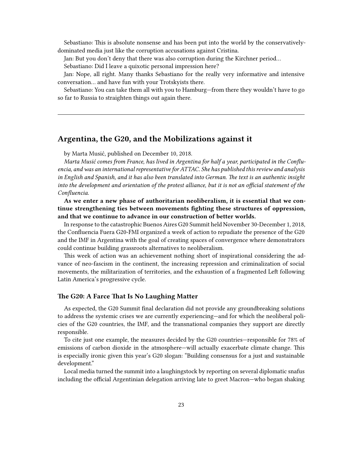Sebastiano: This is absolute nonsense and has been put into the world by the conservativelydominated media just like the corruption accusations against Cristina.

Jan: But you don't deny that there was also corruption during the Kirchner period…

Sebastiano: Did I leave a quixotic personal impression here?

Jan: Nope, all right. Many thanks Sebastiano for the really very informative and intensive conversation… and have fun with your Trotskyists there.

Sebastiano: You can take them all with you to Hamburg—from there they wouldn't have to go so far to Russia to straighten things out again there.

# <span id="page-22-0"></span>**Argentina, the G20, and the Mobilizations against it**

by Marta Musić, published on December 10, 2018.

*Marta Musić comes from France, has lived in Argentina for half a year, participated in the Confluencia, and was an international representative for ATTAC. She has published this review and analysis in English and Spanish, and it has also been translated into German. The text is an authentic insight into the development and orientation of the protest alliance, but it is not an official statement of the Confluencia.*

**As we enter a new phase of authoritarian neoliberalism, it is essential that we continue strengthening ties between movements fighting these structures of oppression, and that we continue to advance in our construction of better worlds.**

In response to the catastrophic Buenos Aires G20 Summit held November 30-December 1, 2018, the Confluencia Fuera G20-FMI organized a week of action to repudiate the presence of the G20 and the IMF in Argentina with the goal of creating spaces of convergence where demonstrators could continue building grassroots alternatives to neoliberalism.

This week of action was an achievement nothing short of inspirational considering the advance of neo-fascism in the continent, the increasing repression and criminalization of social movements, the militarization of territories, and the exhaustion of a fragmented Left following Latin America's progressive cycle.

#### <span id="page-22-1"></span>**The G20: A Farce That Is No Laughing Matter**

As expected, the G20 Summit final declaration did not provide any groundbreaking solutions to address the systemic crises we are currently experiencing—and for which the neoliberal policies of the G20 countries, the IMF, and the transnational companies they support are directly responsible.

To cite just one example, the measures decided by the G20 countries—responsible for 78% of emissions of carbon dioxide in the atmosphere—will actually exacerbate climate change. This is especially ironic given this year's G20 slogan: "Building consensus for a just and sustainable development."

Local media turned the summit into a laughingstock by reporting on several diplomatic snafus including the official Argentinian delegation arriving late to greet Macron—who began shaking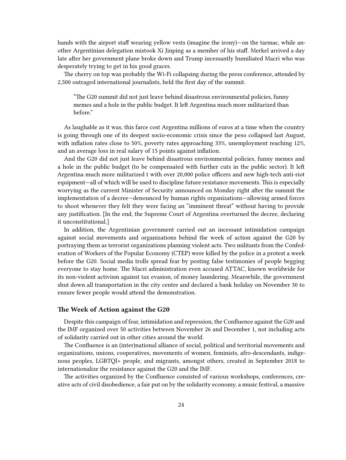hands with the airport staff wearing yellow vests (imagine the irony)—on the tarmac, while another Argentinian delegation mistook Xi Jinping as a member of his staff. Merkel arrived a day late after her government plane broke down and Trump incessantly humiliated Macri who was desperately trying to get in his good graces.

The cherry on top was probably the Wi-Fi collapsing during the press conference, attended by 2,500 outraged international journalists, held the first day of the summit.

"The G20 summit did not just leave behind disastrous environmental policies, funny memes and a hole in the public budget. It left Argentina much more militarized than before."

As laughable as it was, this farce cost Argentina millions of euros at a time when the country is going through one of its deepest socio-economic crisis since the peso collapsed last August, with inflation rates close to 50%, poverty rates approaching 33%, unemployment reaching 12%, and an average loss in real salary of 15 points against inflation.

And the G20 did not just leave behind disastrous environmental policies, funny memes and a hole in the public budget (to be compensated with further cuts in the public sector). It left Argentina much more militarized t with over 20,000 police officers and new high-tech anti-riot equipment—all of which will be used to discipline future resistance movements. This is especially worrying as the current Minister of Security announced on Monday right after the summit the implementation of a decree—denounced by human rights organizations—allowing armed forces to shoot whenever they felt they were facing an "imminent threat" without having to provide any justification. [In the end, the Supreme Court of Argentina overturned the decree, declaring it unconstitutional.]

In addition, the Argentinian government carried out an incessant intimidation campaign against social movements and organizations behind the week of action against the G20 by portraying them as terrorist organizations planning violent acts. Two militants from the Confederation of Workers of the Popular Economy (CTEP) were killed by the police in a protest a week before the G20. Social media trolls spread fear by posting false testimonies of people begging everyone to stay home. The Macri administration even accused ATTAC, known worldwide for its non-violent activism against tax evasion, of money laundering. Meanwhile, the government shut down all transportation in the city centre and declared a bank holiday on November 30 to ensure fewer people would attend the demonstration.

#### <span id="page-23-0"></span>**The Week of Action against the G20**

Despite this campaign of fear, intimidation and repression, the Confluence against the G20 and the IMF organized over 50 activities between November 26 and December 1, not including acts of solidarity carried out in other cities around the world.

The Confluence is an (inter)national alliance of social, political and territorial movements and organizations, unions, cooperatives, movements of women, feminists, afro-descendants, indigenous peoples, LGBTQI+ people, and migrants, amongst others, created in September 2018 to internationalize the resistance against the G20 and the IMF.

The activities organized by the Confluence consisted of various workshops, conferences, creative acts of civil disobedience, a fair put on by the solidarity economy, a music festival, a massive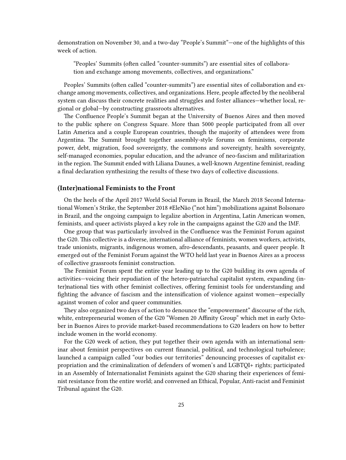demonstration on November 30, and a two-day "People's Summit"—one of the highlights of this week of action.

"Peoples' Summits (often called "counter-summits") are essential sites of collaboration and exchange among movements, collectives, and organizations."

Peoples' Summits (often called "counter-summits") are essential sites of collaboration and exchange among movements, collectives, and organizations. Here, people affected by the neoliberal system can discuss their concrete realities and struggles and foster alliances—whether local, regional or global—by constructing grassroots alternatives.

The Confluence People's Summit began at the University of Buenos Aires and then moved to the public sphere on Congress Square. More than 5000 people participated from all over Latin America and a couple European countries, though the majority of attendees were from Argentina. The Summit brought together assembly-style forums on feminisms, corporate power, debt, migration, food sovereignty, the commons and sovereignty, health sovereignty, self-managed economies, popular education, and the advance of neo-fascism and militarization in the region. The Summit ended with Liliana Daunes, a well-known Argentine feminist, reading a final declaration synthesizing the results of these two days of collective discussions.

#### <span id="page-24-0"></span>**(Inter)national Feminists to the Front**

On the heels of the April 2017 World Social Forum in Brazil, the March 2018 Second International Women's Strike, the September 2018 #EleNão ("not him") mobilizations against Bolsonaro in Brazil, and the ongoing campaign to legalize abortion in Argentina, Latin American women, feminists, and queer activists played a key role in the campaigns against the G20 and the IMF.

One group that was particularly involved in the Confluence was the Feminist Forum against the G20. This collective is a diverse, international alliance of feminists, women workers, activists, trade unionists, migrants, indigenous women, afro-descendants, peasants, and queer people. It emerged out of the Feminist Forum against the WTO held last year in Buenos Aires as a process of collective grassroots feminist construction.

The Feminist Forum spent the entire year leading up to the G20 building its own agenda of activities—voicing their repudiation of the hetero-patriarchal capitalist system, expanding (inter)national ties with other feminist collectives, offering feminist tools for understanding and fighting the advance of fascism and the intensification of violence against women—especially against women of color and queer communities.

They also organized two days of action to denounce the "empowerment" discourse of the rich, white, entrepreneurial women of the G20 "Women 20 Affinity Group" which met in early October in Buenos Aires to provide market-based recommendations to G20 leaders on how to better include women in the world economy.

For the G20 week of action, they put together their own agenda with an international seminar about feminist perspectives on current financial, political, and technological turbulence; launched a campaign called "our bodies our territories" denouncing processes of capitalist expropriation and the criminalization of defenders of women's and LGBTQI+ rights; participated in an Assembly of Internationalist Feminists against the G20 sharing their experiences of feminist resistance from the entire world; and convened an Ethical, Popular, Anti-racist and Feminist Tribunal against the G20.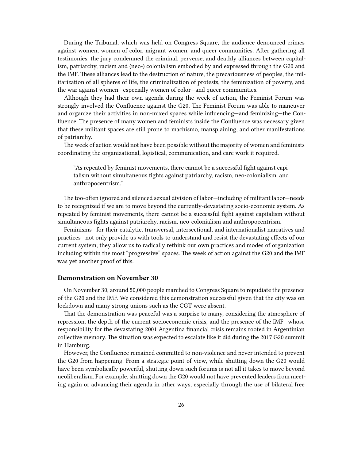During the Tribunal, which was held on Congress Square, the audience denounced crimes against women, women of color, migrant women, and queer communities. After gathering all testimonies, the jury condemned the criminal, perverse, and deathly alliances between capitalism, patriarchy, racism and (neo-) colonialism embodied by and expressed through the G20 and the IMF. These alliances lead to the destruction of nature, the precariousness of peoples, the militarization of all spheres of life, the criminalization of protests, the feminization of poverty, and the war against women—especially women of color—and queer communities.

Although they had their own agenda during the week of action, the Feminist Forum was strongly involved the Confluence against the G20. The Feminist Forum was able to maneuver and organize their activities in non-mixed spaces while influencing—and feminizing—the Confluence. The presence of many women and feminists inside the Confluence was necessary given that these militant spaces are still prone to machismo, mansplaining, and other manifestations of patriarchy.

The week of action would not have been possible without the majority of women and feminists coordinating the organizational, logistical, communication, and care work it required.

"As repeated by feminist movements, there cannot be a successful fight against capitalism without simultaneous fights against patriarchy, racism, neo-colonialism, and anthropocentrism."

The too-often ignored and silenced sexual division of labor—including of militant labor—needs to be recognized if we are to move beyond the currently-devastating socio-economic system. As repeated by feminist movements, there cannot be a successful fight against capitalism without simultaneous fights against patriarchy, racism, neo-colonialism and anthropocentrism.

Feminisms—for their catalytic, transversal, intersectional, and internationalist narratives and practices—not only provide us with tools to understand and resist the devastating effects of our current system; they allow us to radically rethink our own practices and modes of organization including within the most "progressive" spaces. The week of action against the G20 and the IMF was yet another proof of this.

# <span id="page-25-0"></span>**Demonstration on November 30**

On November 30, around 50,000 people marched to Congress Square to repudiate the presence of the G20 and the IMF. We considered this demonstration successful given that the city was on lockdown and many strong unions such as the CGT were absent.

That the demonstration was peaceful was a surprise to many, considering the atmosphere of repression, the depth of the current socioeconomic crisis, and the presence of the IMF—whose responsibility for the devastating 2001 Argentina financial crisis remains rooted in Argentinian collective memory. The situation was expected to escalate like it did during the 2017 G20 summit in Hamburg.

However, the Confluence remained committed to non-violence and never intended to prevent the G20 from happening. From a strategic point of view, while shutting down the G20 would have been symbolically powerful, shutting down such forums is not all it takes to move beyond neoliberalism. For example, shutting down the G20 would not have prevented leaders from meeting again or advancing their agenda in other ways, especially through the use of bilateral free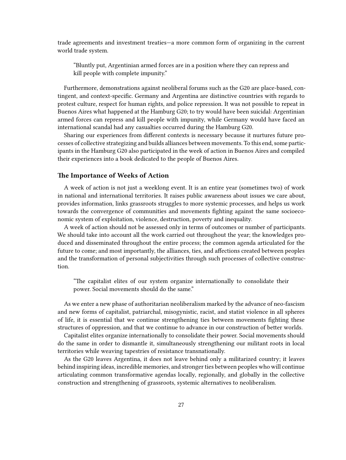trade agreements and investment treaties—a more common form of organizing in the current world trade system.

"Bluntly put, Argentinian armed forces are in a position where they can repress and kill people with complete impunity."

Furthermore, demonstrations against neoliberal forums such as the G20 are place-based, contingent, and context-specific. Germany and Argentina are distinctive countries with regards to protest culture, respect for human rights, and police repression. It was not possible to repeat in Buenos Aires what happened at the Hamburg G20; to try would have been suicidal: Argentinian armed forces can repress and kill people with impunity, while Germany would have faced an international scandal had any casualties occurred during the Hamburg G20.

Sharing our experiences from different contexts is necessary because it nurtures future processes of collective strategizing and builds alliances between movements. To this end, some participants in the Hamburg G20 also participated in the week of action in Buenos Aires and compiled their experiences into a book dedicated to the people of Buenos Aires.

# <span id="page-26-0"></span>**The Importance of Weeks of Action**

A week of action is not just a weeklong event. It is an entire year (sometimes two) of work in national and international territories. It raises public awareness about issues we care about, provides information, links grassroots struggles to more systemic processes, and helps us work towards the convergence of communities and movements fighting against the same socioeconomic system of exploitation, violence, destruction, poverty and inequality.

A week of action should not be assessed only in terms of outcomes or number of participants. We should take into account all the work carried out throughout the year; the knowledges produced and disseminated throughout the entire process; the common agenda articulated for the future to come; and most importantly, the alliances, ties, and affections created between peoples and the transformation of personal subjectivities through such processes of collective construction.

"The capitalist elites of our system organize internationally to consolidate their power. Social movements should do the same."

As we enter a new phase of authoritarian neoliberalism marked by the advance of neo-fascism and new forms of capitalist, patriarchal, misogynistic, racist, and statist violence in all spheres of life, it is essential that we continue strengthening ties between movements fighting these structures of oppression, and that we continue to advance in our construction of better worlds.

Capitalist elites organize internationally to consolidate their power. Social movements should do the same in order to dismantle it, simultaneously strengthening our militant roots in local territories while weaving tapestries of resistance transnationally.

As the G20 leaves Argentina, it does not leave behind only a militarized country; it leaves behind inspiring ideas, incredible memories, and stronger ties between peoples who will continue articulating common transformative agendas locally, regionally, and globally in the collective construction and strengthening of grassroots, systemic alternatives to neoliberalism.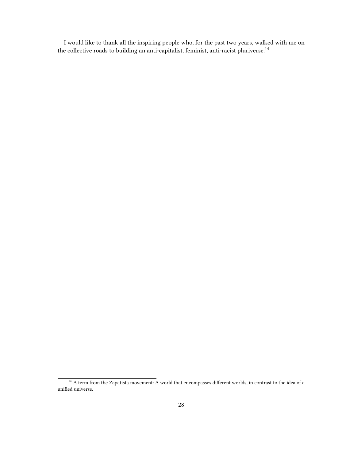I would like to thank all the inspiring people who, for the past two years, walked with me on the collective roads to building an anti-capitalist, feminist, anti-racist pluriverse.<sup>14</sup>

<sup>&</sup>lt;sup>14</sup> A term from the Zapatista movement: A world that encompasses different worlds, in contrast to the idea of a unified universe.